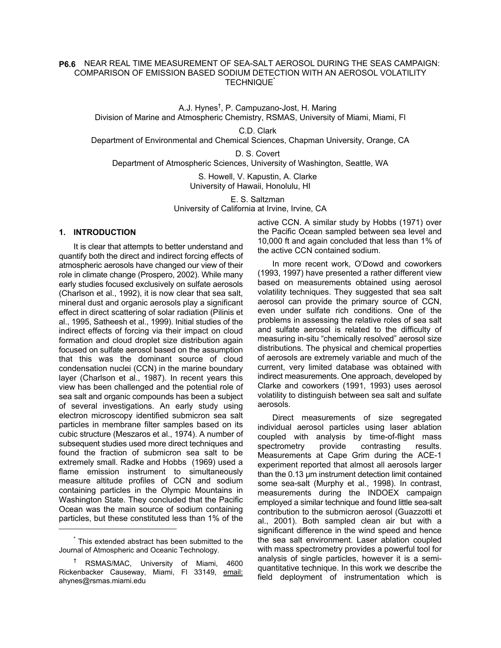## NEAR REAL TIME MEASUREMENT OF SEA-SALT AEROSOL DURING THE SEAS CAMPAIGN: **P6.6**COMPARISON OF EMISSION BASED SODIUM DETECTION WITH AN AEROSOL VOLATILITY TECHNIQUE\*

A.J. Hynes<sup>†</sup>, P. Campuzano-Jost, H. Maring Division of Marine and Atmospheric Chemistry, RSMAS, University of Miami, Miami, Fl

C.D. Clark Department of Environmental and Chemical Sciences, Chapman University, Orange, CA

D. S. Covert Department of Atmospheric Sciences, University of Washington, Seattle, WA

> S. Howell, V. Kapustin, A. Clarke University of Hawaii, Honolulu, HI

E. S. Saltzman University of California at Irvine, Irvine, CA

## **1. INTRODUCTION**

It is clear that attempts to better understand and quantify both the direct and indirect forcing effects of atmospheric aerosols have changed our view of their role in climate change (Prospero, 2002). While many early studies focused exclusively on sulfate aerosols (Charlson et al., 1992), it is now clear that sea salt, mineral dust and organic aerosols play a significant effect in direct scattering of solar radiation (Pilinis et al., 1995, Satheesh et al., 1999). Initial studies of the indirect effects of forcing via their impact on cloud formation and cloud droplet size distribution again focused on sulfate aerosol based on the assumption that this was the dominant source of cloud condensation nuclei (CCN) in the marine boundary layer (Charlson et al., 1987). In recent years this view has been challenged and the potential role of sea salt and organic compounds has been a subject of several investigations. An early study using electron microscopy identified submicron sea salt particles in membrane filter samples based on its cubic structure (Meszaros et al., 1974). A number of subsequent studies used more direct techniques and found the fraction of submicron sea salt to be extremely small. Radke and Hobbs (1969) used a flame emission instrument to simultaneously measure altitude profiles of CCN and sodium containing particles in the Olympic Mountains in Washington State. They concluded that the Pacific Ocean was the main source of sodium containing particles, but these constituted less than 1% of the

l

active CCN. A similar study by Hobbs (1971) over the Pacific Ocean sampled between sea level and 10,000 ft and again concluded that less than 1% of the active CCN contained sodium.

In more recent work, O'Dowd and coworkers (1993, 1997) have presented a rather different view based on measurements obtained using aerosol volatility techniques. They suggested that sea salt aerosol can provide the primary source of CCN, even under sulfate rich conditions. One of the problems in assessing the relative roles of sea salt and sulfate aerosol is related to the difficulty of measuring in-situ "chemically resolved" aerosol size distributions. The physical and chemical properties of aerosols are extremely variable and much of the current, very limited database was obtained with indirect measurements. One approach, developed by Clarke and coworkers (1991, 1993) uses aerosol volatility to distinguish between sea salt and sulfate aerosols.

Direct measurements of size segregated individual aerosol particles using laser ablation coupled with analysis by time-of-flight mass spectrometry provide contrasting results. Measurements at Cape Grim during the ACE-1 experiment reported that almost all aerosols larger than the 0.13 µm instrument detection limit contained some sea-salt (Murphy et al., 1998). In contrast, measurements during the INDOEX campaign employed a similar technique and found little sea-salt contribution to the submicron aerosol (Guazzotti et al., 2001). Both sampled clean air but with a significant difference in the wind speed and hence the sea salt environment. Laser ablation coupled with mass spectrometry provides a powerful tool for analysis of single particles, however it is a semiquantitative technique. In this work we describe the field deployment of instrumentation which is

<sup>\*</sup> This extended abstract has been submitted to the Journal of Atmospheric and Oceanic Technology.

<sup>†</sup> RSMAS/MAC, University of Miami, 4600 Rickenbacker Causeway, Miami, Fl 33149, email: ahynes@rsmas.miami.edu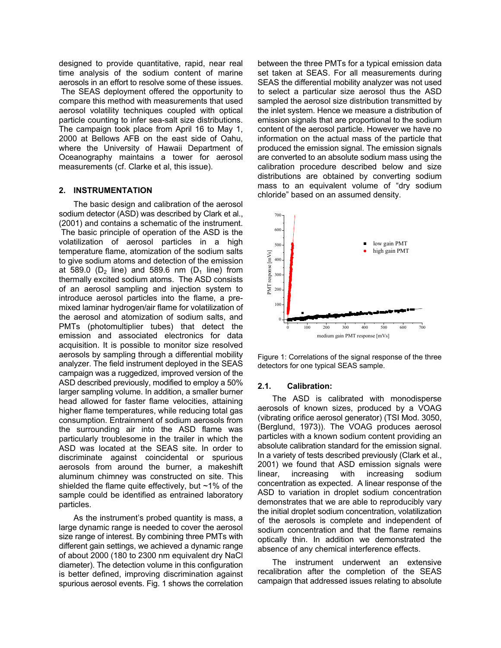designed to provide quantitative, rapid, near real time analysis of the sodium content of marine aerosols in an effort to resolve some of these issues. The SEAS deployment offered the opportunity to compare this method with measurements that used aerosol volatility techniques coupled with optical particle counting to infer sea-salt size distributions. The campaign took place from April 16 to May 1, 2000 at Bellows AFB on the east side of Oahu, where the University of Hawaii Department of Oceanography maintains a tower for aerosol measurements (cf. Clarke et al, this issue).

## **2. INSTRUMENTATION**

The basic design and calibration of the aerosol sodium detector (ASD) was described by Clark et al., (2001) and contains a schematic of the instrument. The basic principle of operation of the ASD is the volatilization of aerosol particles in a high temperature flame, atomization of the sodium salts to give sodium atoms and detection of the emission at 589.0 ( $D_2$  line) and 589.6 nm ( $D_1$  line) from thermally excited sodium atoms. The ASD consists of an aerosol sampling and injection system to introduce aerosol particles into the flame, a premixed laminar hydrogen/air flame for volatilization of the aerosol and atomization of sodium salts, and PMTs (photomultiplier tubes) that detect the emission and associated electronics for data acquisition. It is possible to monitor size resolved aerosols by sampling through a differential mobility analyzer. The field instrument deployed in the SEAS campaign was a ruggedized, improved version of the ASD described previously, modified to employ a 50% larger sampling volume. In addition, a smaller burner head allowed for faster flame velocities, attaining higher flame temperatures, while reducing total gas consumption. Entrainment of sodium aerosols from the surrounding air into the ASD flame was particularly troublesome in the trailer in which the ASD was located at the SEAS site. In order to discriminate against coincidental or spurious aerosols from around the burner, a makeshift aluminum chimney was constructed on site. This shielded the flame quite effectively, but  $~1\%$  of the sample could be identified as entrained laboratory particles.

As the instrument's probed quantity is mass, a large dynamic range is needed to cover the aerosol size range of interest. By combining three PMTs with different gain settings, we achieved a dynamic range of about 2000 (180 to 2300 nm equivalent dry NaCl diameter). The detection volume in this configuration is better defined, improving discrimination against spurious aerosol events. Fig. 1 shows the correlation

between the three PMTs for a typical emission data set taken at SEAS. For all measurements during SEAS the differential mobility analyzer was not used to select a particular size aerosol thus the ASD sampled the aerosol size distribution transmitted by the inlet system. Hence we measure a distribution of emission signals that are proportional to the sodium content of the aerosol particle. However we have no information on the actual mass of the particle that produced the emission signal. The emission signals are converted to an absolute sodium mass using the calibration procedure described below and size distributions are obtained by converting sodium mass to an equivalent volume of "dry sodium chloride" based on an assumed density.



Figure 1: Correlations of the signal response of the three detectors for one typical SEAS sample.

## **2.1. Calibration:**

The ASD is calibrated with monodisperse aerosols of known sizes, produced by a VOAG (vibrating orifice aerosol generator) (TSI Mod. 3050, (Berglund, 1973)). The VOAG produces aerosol particles with a known sodium content providing an absolute calibration standard for the emission signal. In a variety of tests described previously (Clark et al., 2001) we found that ASD emission signals were<br>linear, increasing with increasing sodium linear, increasing with increasing sodium concentration as expected. A linear response of the ASD to variation in droplet sodium concentration demonstrates that we are able to reproducibly vary the initial droplet sodium concentration, volatilization of the aerosols is complete and independent of sodium concentration and that the flame remains optically thin. In addition we demonstrated the absence of any chemical interference effects.

The instrument underwent an extensive recalibration after the completion of the SEAS campaign that addressed issues relating to absolute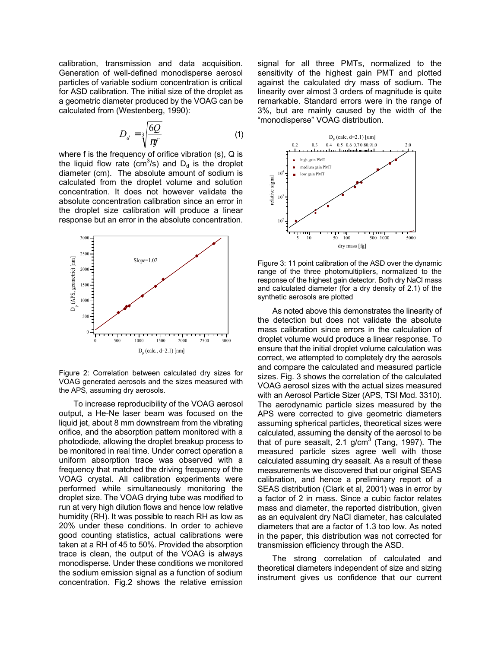calibration, transmission and data acquisition. Generation of well-defined monodisperse aerosol particles of variable sodium concentration is critical for ASD calibration. The initial size of the droplet as a geometric diameter produced by the VOAG can be calculated from (Westenberg, 1990):

$$
D_d = \sqrt[3]{\frac{6Q}{\pi f}}
$$
 (1)

where f is the frequency of orifice vibration (s), Q is the liquid flow rate (cm<sup>3</sup>/s) and  $D_d$  is the droplet diameter (cm). The absolute amount of sodium is calculated from the droplet volume and solution concentration. It does not however validate the absolute concentration calibration since an error in the droplet size calibration will produce a linear response but an error in the absolute concentration.



Figure 2: Correlation between calculated dry sizes for VOAG generated aerosols and the sizes measured with the APS, assuming dry aerosols.

To increase reproducibility of the VOAG aerosol output, a He-Ne laser beam was focused on the liquid jet, about 8 mm downstream from the vibrating orifice, and the absorption pattern monitored with a photodiode, allowing the droplet breakup process to be monitored in real time. Under correct operation a uniform absorption trace was observed with a frequency that matched the driving frequency of the VOAG crystal. All calibration experiments were performed while simultaneously monitoring the droplet size. The VOAG drying tube was modified to run at very high dilution flows and hence low relative humidity (RH). It was possible to reach RH as low as 20% under these conditions. In order to achieve good counting statistics, actual calibrations were taken at a RH of 45 to 50%. Provided the absorption trace is clean, the output of the VOAG is always monodisperse. Under these conditions we monitored the sodium emission signal as a function of sodium concentration. Fig.2 shows the relative emission

signal for all three PMTs, normalized to the sensitivity of the highest gain PMT and plotted against the calculated dry mass of sodium. The linearity over almost 3 orders of magnitude is quite remarkable. Standard errors were in the range of 3%, but are mainly caused by the width of the "monodisperse" VOAG distribution.



Figure 3: 11 point calibration of the ASD over the dynamic range of the three photomultipliers, normalized to the response of the highest gain detector. Both dry NaCl mass and calculated diameter (for a dry density of 2.1) of the synthetic aerosols are plotted

As noted above this demonstrates the linearity of the detection but does not validate the absolute mass calibration since errors in the calculation of droplet volume would produce a linear response. To ensure that the initial droplet volume calculation was correct, we attempted to completely dry the aerosols and compare the calculated and measured particle sizes. Fig. 3 shows the correlation of the calculated VOAG aerosol sizes with the actual sizes measured with an Aerosol Particle Sizer (APS, TSI Mod. 3310). The aerodynamic particle sizes measured by the APS were corrected to give geometric diameters assuming spherical particles, theoretical sizes were calculated, assuming the density of the aerosol to be that of pure seasalt, 2.1 g/cm<sup>3</sup> (Tang, 1997). The measured particle sizes agree well with those calculated assuming dry seasalt. As a result of these measurements we discovered that our original SEAS calibration, and hence a preliminary report of a SEAS distribution (Clark et al, 2001) was in error by a factor of 2 in mass. Since a cubic factor relates mass and diameter, the reported distribution, given as an equivalent dry NaCl diameter, has calculated diameters that are a factor of 1.3 too low. As noted in the paper, this distribution was not corrected for transmission efficiency through the ASD.

The strong correlation of calculated and theoretical diameters independent of size and sizing instrument gives us confidence that our current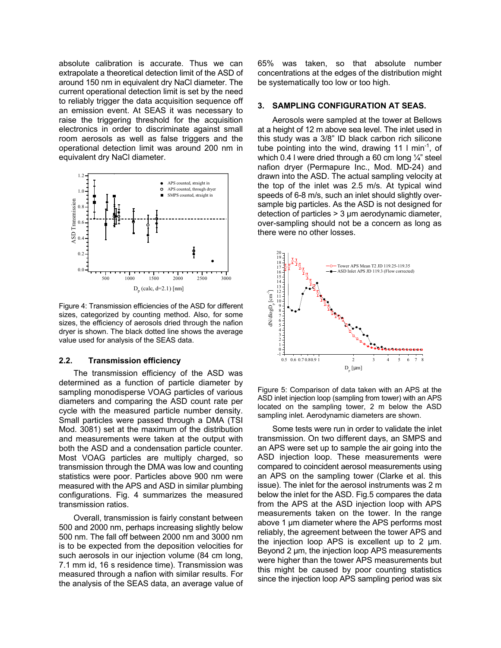absolute calibration is accurate. Thus we can extrapolate a theoretical detection limit of the ASD of around 150 nm in equivalent dry NaCl diameter. The current operational detection limit is set by the need to reliably trigger the data acquisition sequence off an emission event. At SEAS it was necessary to raise the triggering threshold for the acquisition electronics in order to discriminate against small room aerosols as well as false triggers and the operational detection limit was around 200 nm in equivalent dry NaCl diameter.



Figure 4: Transmission efficiencies of the ASD for different sizes, categorized by counting method. Also, for some sizes, the efficiency of aerosols dried through the nafion dryer is shown. The black dotted line shows the average value used for analysis of the SEAS data.

## **2.2. Transmission efficiency**

The transmission efficiency of the ASD was determined as a function of particle diameter by sampling monodisperse VOAG particles of various diameters and comparing the ASD count rate per cycle with the measured particle number density. Small particles were passed through a DMA (TSI Mod. 3081) set at the maximum of the distribution and measurements were taken at the output with both the ASD and a condensation particle counter. Most VOAG particles are multiply charged, so transmission through the DMA was low and counting statistics were poor. Particles above 900 nm were measured with the APS and ASD in similar plumbing configurations. Fig. 4 summarizes the measured transmission ratios.

Overall, transmission is fairly constant between 500 and 2000 nm, perhaps increasing slightly below 500 nm. The fall off between 2000 nm and 3000 nm is to be expected from the deposition velocities for such aerosols in our injection volume (84 cm long, 7.1 mm id, 16 s residence time). Transmission was measured through a nafion with similar results. For the analysis of the SEAS data, an average value of 65% was taken, so that absolute number concentrations at the edges of the distribution might be systematically too low or too high.

## **3. SAMPLING CONFIGURATION AT SEAS.**

Aerosols were sampled at the tower at Bellows at a height of 12 m above sea level. The inlet used in this study was a 3/8" ID black carbon rich silicone tube pointing into the wind, drawing 11  $\text{I}$  min<sup>-1</sup>, of which 0.4 l were dried through a 60 cm long  $\frac{1}{4}$ " steel nafion dryer (Permapure Inc., Mod. MD-24) and drawn into the ASD. The actual sampling velocity at the top of the inlet was 2.5 m/s. At typical wind speeds of 6-8 m/s, such an inlet should slightly oversample big particles. As the ASD is not designed for detection of particles > 3 µm aerodynamic diameter, over-sampling should not be a concern as long as there were no other losses.



Figure 5: Comparison of data taken with an APS at the ASD inlet injection loop (sampling from tower) with an APS located on the sampling tower, 2 m below the ASD sampling inlet. Aerodynamic diameters are shown.

Some tests were run in order to validate the inlet transmission. On two different days, an SMPS and an APS were set up to sample the air going into the ASD injection loop. These measurements were compared to coincident aerosol measurements using an APS on the sampling tower (Clarke et al. this issue). The inlet for the aerosol instruments was 2 m below the inlet for the ASD. Fig.5 compares the data from the APS at the ASD injection loop with APS measurements taken on the tower. In the range above 1 µm diameter where the APS performs most reliably, the agreement between the tower APS and the injection loop APS is excellent up to 2 µm. Beyond 2 um, the injection loop APS measurements were higher than the tower APS measurements but this might be caused by poor counting statistics since the injection loop APS sampling period was six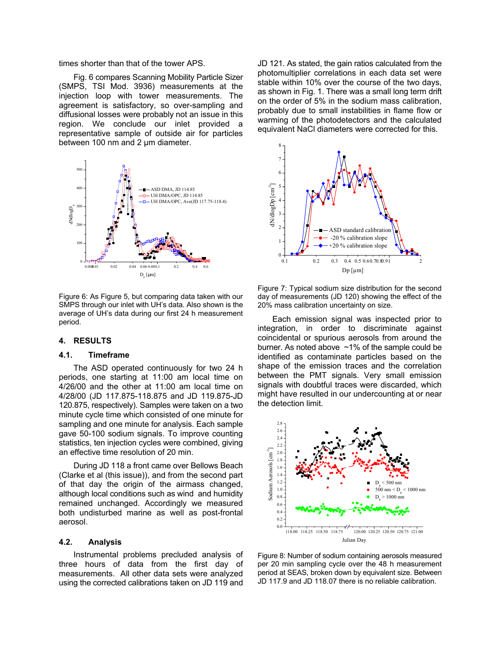times shorter than that of the tower APS.

Fig. 6 compares Scanning Mobility Particle Sizer (SMPS, TSI Mod. 3936) measurements at the injection loop with tower measurements. The agreement is satisfactory, so over-sampling and diffusional losses were probably not an issue in this region. We conclude our inlet provided a representative sample of outside air for particles between 100 nm and 2 µm diameter.



Figure 6: As Figure 5, but comparing data taken with our SMPS through our inlet with UH's data. Also shown is the average of UH's data during our first 24 h measurement period.

## **4. RESULTS**

## **4.1. Timeframe**

The ASD operated continuously for two 24 h periods, one starting at 11:00 am local time on 4/26/00 and the other at 11:00 am local time on 4/28/00 (JD 117.875-118.875 and JD 119.875-JD 120.875, respectively). Samples were taken on a two minute cycle time which consisted of one minute for sampling and one minute for analysis. Each sample gave 50-100 sodium signals. To improve counting statistics, ten injection cycles were combined, giving an effective time resolution of 20 min.

During JD 118 a front came over Bellows Beach (Clarke et al (this issue)), and from the second part of that day the origin of the airmass changed, although local conditions such as wind and humidity remained unchanged. Accordingly we measured both undisturbed marine as well as post-frontal aerosol.

#### **4.2. Analysis**

Instrumental problems precluded analysis of three hours of data from the first day of measurements. All other data sets were analyzed using the corrected calibrations taken on JD 119 and JD 121. As stated, the gain ratios calculated from the photomultiplier correlations in each data set were stable within 10% over the course of the two days, as shown in Fig. 1. There was a small long term drift on the order of 5% in the sodium mass calibration, probably due to small instabilities in flame flow or warming of the photodetectors and the calculated equivalent NaCl diameters were corrected for this.



Figure 7: Typical sodium size distribution for the second day of measurements (JD 120) showing the effect of the 20% mass calibration uncertainty on size.

Each emission signal was inspected prior to integration, in order to discriminate against coincidental or spurious aerosols from around the burner. As noted above ~1% of the sample could be identified as contaminate particles based on the shape of the emission traces and the correlation between the PMT signals. Very small emission signals with doubtful traces were discarded, which might have resulted in our undercounting at or near the detection limit.



Figure 8: Number of sodium containing aerosols measured per 20 min sampling cycle over the 48 h measurement period at SEAS, broken down by equivalent size. Between JD 117.9 and JD 118.07 there is no reliable calibration.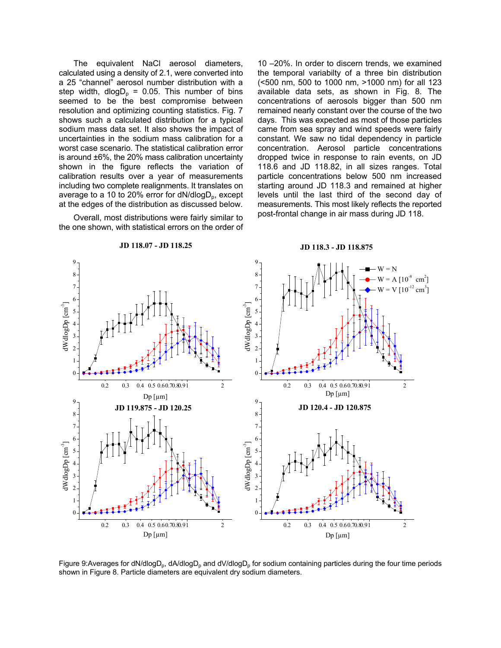The equivalent NaCl aerosol diameters, calculated using a density of 2.1, were converted into a 25 "channel" aerosol number distribution with a step width, dlog $D_p = 0.05$ . This number of bins seemed to be the best compromise between resolution and optimizing counting statistics. Fig. 7 shows such a calculated distribution for a typical sodium mass data set. It also shows the impact of uncertainties in the sodium mass calibration for a worst case scenario. The statistical calibration error is around ±6%, the 20% mass calibration uncertainty shown in the figure reflects the variation of calibration results over a year of measurements including two complete realignments. It translates on average to a 10 to 20% error for  $dN/dlogD_p$ , except at the edges of the distribution as discussed below.

Overall, most distributions were fairly similar to the one shown, with statistical errors on the order of

10 –20%. In order to discern trends, we examined the temporal variabilty of a three bin distribution (<500 nm, 500 to 1000 nm, >1000 nm) for all 123 available data sets, as shown in Fig. 8. The concentrations of aerosols bigger than 500 nm remained nearly constant over the course of the two days. This was expected as most of those particles came from sea spray and wind speeds were fairly constant. We saw no tidal dependency in particle concentration. Aerosol particle concentrations dropped twice in response to rain events, on JD 118.6 and JD 118.82, in all sizes ranges. Total particle concentrations below 500 nm increased starting around JD 118.3 and remained at higher levels until the last third of the second day of measurements. This most likely reflects the reported post-frontal change in air mass during JD 118.



**JD 118.07 - JD 118.25**

Figure 9:Averages for dN/dlogD<sub>p</sub>, dA/dlogD<sub>p</sub> and dV/dlogD<sub>p</sub> for sodium containing particles during the four time periods shown in Figure 8. Particle diameters are equivalent dry sodium diameters.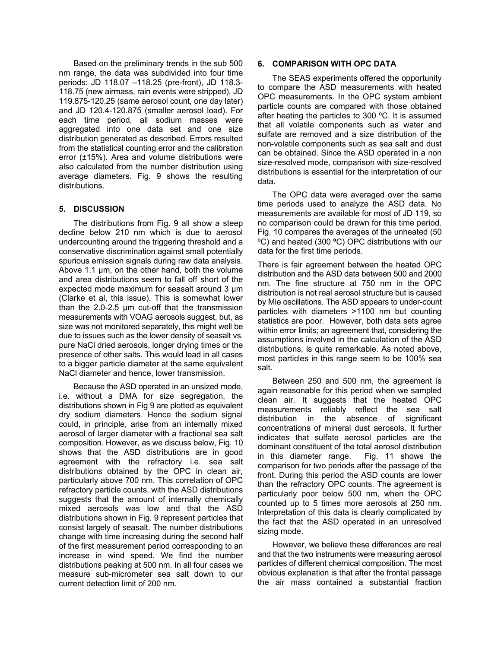Based on the preliminary trends in the sub 500 nm range, the data was subdivided into four time periods: JD 118.07 –118.25 (pre-front), JD 118.3- 118.75 (new airmass, rain events were stripped), JD 119.875-120.25 (same aerosol count, one day later) and JD 120.4-120.875 (smaller aerosol load). For each time period, all sodium masses were aggregated into one data set and one size distribution generated as described. Errors resulted from the statistical counting error and the calibration error (±15%). Area and volume distributions were also calculated from the number distribution using average diameters. Fig. 9 shows the resulting distributions.

# **5. DISCUSSION**

The distributions from Fig. 9 all show a steep decline below 210 nm which is due to aerosol undercounting around the triggering threshold and a conservative discrimination against small potentially spurious emission signals during raw data analysis. Above 1.1 µm, on the other hand, both the volume and area distributions seem to fall off short of the expected mode maximum for seasalt around 3 µm (Clarke et al, this issue). This is somewhat lower than the 2.0-2.5 µm cut-off that the transmission measurements with VOAG aerosols suggest, but, as size was not monitored separately, this might well be due to issues such as the lower density of seasalt vs. pure NaCl dried aerosols, longer drying times or the presence of other salts. This would lead in all cases to a bigger particle diameter at the same equivalent NaCl diameter and hence, lower transmission.

Because the ASD operated in an unsized mode, i.e. without a DMA for size segregation, the distributions shown in Fig 9 are plotted as equivalent dry sodium diameters. Hence the sodium signal could, in principle, arise from an internally mixed aerosol of larger diameter with a fractional sea salt composition. However, as we discuss below, Fig. 10 shows that the ASD distributions are in good agreement with the refractory i.e. sea salt distributions obtained by the OPC in clean air, particularly above 700 nm. This correlation of OPC refractory particle counts, with the ASD distributions suggests that the amount of internally chemically mixed aerosols was low and that the ASD distributions shown in Fig. 9 represent particles that consist largely of seasalt. The number distributions change with time increasing during the second half of the first measurement period corresponding to an increase in wind speed. We find the number distributions peaking at 500 nm. In all four cases we measure sub-micrometer sea salt down to our current detection limit of 200 nm.

## **6. COMPARISON WITH OPC DATA**

The SEAS experiments offered the opportunity to compare the ASD measurements with heated OPC measurements. In the OPC system ambient particle counts are compared with those obtained after heating the particles to 300 ºC. It is assumed that all volatile components such as water and sulfate are removed and a size distribution of the non-volatile components such as sea salt and dust can be obtained. Since the ASD operated in a non size-resolved mode, comparison with size-resolved distributions is essential for the interpretation of our data.

The OPC data were averaged over the same time periods used to analyze the ASD data. No measurements are available for most of JD 119, so no comparison could be drawn for this time period. Fig. 10 compares the averages of the unheated (50 ºC) and heated (300 **º**C) OPC distributions with our data for the first time periods.

There is fair agreement between the heated OPC distribution and the ASD data between 500 and 2000 nm. The fine structure at 750 nm in the OPC distribution is not real aerosol structure but is caused by Mie oscillations. The ASD appears to under-count particles with diameters >1100 nm but counting statistics are poor. However, both data sets agree within error limits; an agreement that, considering the assumptions involved in the calculation of the ASD distributions, is quite remarkable. As noted above, most particles in this range seem to be 100% sea salt.

Between 250 and 500 nm, the agreement is again reasonable for this period when we sampled clean air. It suggests that the heated OPC measurements reliably reflect the sea salt distribution in the absence of significant concentrations of mineral dust aerosols. It further indicates that sulfate aerosol particles are the dominant constituent of the total aerosol distribution in this diameter range. Fig. 11 shows the comparison for two periods after the passage of the front. During this period the ASD counts are lower than the refractory OPC counts. The agreement is particularly poor below 500 nm, when the OPC counted up to 5 times more aerosols at 250 nm. Interpretation of this data is clearly complicated by the fact that the ASD operated in an unresolved sizing mode.

However, we believe these differences are real and that the two instruments were measuring aerosol particles of different chemical composition. The most obvious explanation is that after the frontal passage the air mass contained a substantial fraction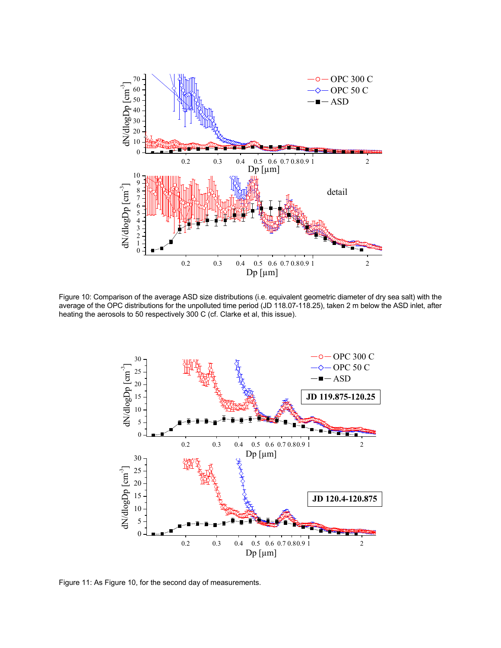

Figure 10: Comparison of the average ASD size distributions (i.e. equivalent geometric diameter of dry sea salt) with the average of the OPC distributions for the unpolluted time period (JD 118.07-118.25), taken 2 m below the ASD inlet, after heating the aerosols to 50 respectively 300 C (cf. Clarke et al, this issue).



Figure 11: As Figure 10, for the second day of measurements.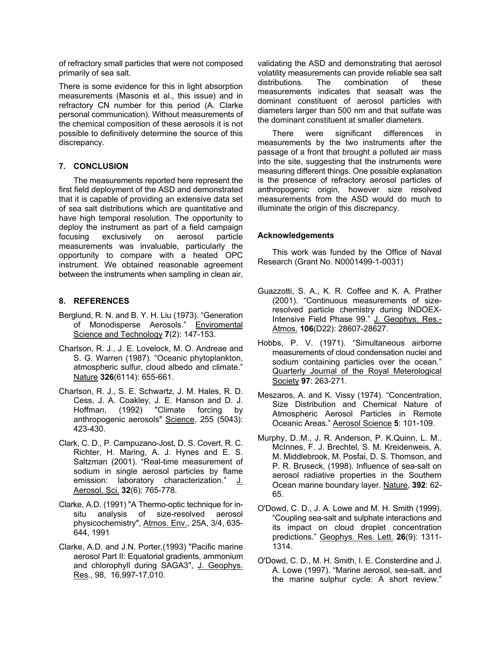of refractory small particles that were not composed primarily of sea salt.

There is some evidence for this in light absorption measurements (Masonis et al., this issue) and in refractory CN number for this period (A. Clarke personal communication). Without measurements of the chemical composition of these aerosols it is not possible to definitively determine the source of this discrepancy.

# **7. CONCLUSION**

The measurements reported here represent the first field deployment of the ASD and demonstrated that it is capable of providing an extensive data set of sea salt distributions which are quantitative and have high temporal resolution. The opportunity to deploy the instrument as part of a field campaign focusing exclusively on aerosol particle measurements was invaluable, particularly the opportunity to compare with a heated OPC instrument. We obtained reasonable agreement between the instruments when sampling in clean air,

# **8. REFERENCES**

- Berglund, R. N. and B. Y. H. Liu (1973). "Generation of Monodisperse Aerosols." Enviromental Science and Technology **7**(2): 147-153.
- Charlson, R. J., J. E. Lovelock, M. O. Andreae and S. G. Warren (1987). "Oceanic phytoplankton, atmospheric sulfur, cloud albedo and climate." Nature **326**(6114): 655-661.
- Charlson, R. J., S. E. Schwartz, J. M. Hales, R. D. Cess, J. A. Coakley, J. E. Hanson and D. J. Hoffman, (1992) "Climate forcing by anthropogenic aerosols" Science, 255 (5043): 423-430.
- Clark, C. D., P. Campuzano-Jost, D. S. Covert, R. C. Richter, H. Maring, A. J. Hynes and E. S. Saltzman (2001). "Real-time measurement of sodium in single aerosol particles by flame emission: laboratory characterization." J. Aerosol. Sci. **32**(6): 765-778.
- Clarke, A.D. (1991) "A Thermo-optic technique for insitu analysis of size-resolved aerosol physicochemistry", Atmos. Env., 25A, 3/4, 635- 644, 1991
- Clarke, A.D. and J.N. Porter,(1993) "Pacific marine aerosol Part II: Equatorial gradients, ammonium and chlorophyll during SAGA3", J. Geophys. Res., 98, 16,997-17,010.

validating the ASD and demonstrating that aerosol volatility measurements can provide reliable sea salt distributions. The combination of these measurements indicates that seasalt was the dominant constituent of aerosol particles with diameters larger than 500 nm and that sulfate was the dominant constituent at smaller diameters.

There were significant differences in measurements by the two instruments after the passage of a front that brought a polluted air mass into the site, suggesting that the instruments were measuring different things. One possible explanation is the presence of refractory aerosol particles of anthropogenic origin, however size resolved measurements from the ASD would do much to illuminate the origin of this discrepancy.

# **Acknowledgements**

This work was funded by the Office of Naval Research (Grant No. N0001499-1-0031)

- Guazzotti, S. A., K. R. Coffee and K. A. Prather (2001). "Continuous measurements of sizeresolved particle chemistry during INDOEX-Intensive Field Phase 99." J. Geophys. Res.- Atmos. **106**(D22): 28607-28627.
- Hobbs, P. V. (1971). "Simultaneous airborne measurements of cloud condensation nuclei and sodium containing particles over the ocean." Quarterly Journal of the Royal Meterological Society **97**: 263-271.
- Meszaros, A. and K. Vissy (1974). "Concentration, Size Distribution and Chemical Nature of Atmospheric Aerosol Particles in Remote Oceanic Areas." Aerosol Science **5**: 101-109.
- Murphy, D..M., J. R. Anderson, P. K.Quinn, L. M.. McInnes, F. J. Brechtel, S. M. Kreidenweis, A. M. Middlebrook, M. Posfai, D. S. Thomson, and P. R. Bruseck, (1998). Influence of sea-salt on aerosol radiative properties in the Southern Ocean marine boundary layer. Nature, **392**: 62- 65.
- O'Dowd, C. D., J. A. Lowe and M. H. Smith (1999). "Coupling sea-salt and sulphate interactions and its impact on cloud droplet concentration predictions." Geophys. Res. Lett. **26**(9): 1311- 1314.
- O'Dowd, C. D., M. H. Smith, I. E. Consterdine and J. A. Lowe (1997). "Marine aerosol, sea-salt, and the marine sulphur cycle: A short review."